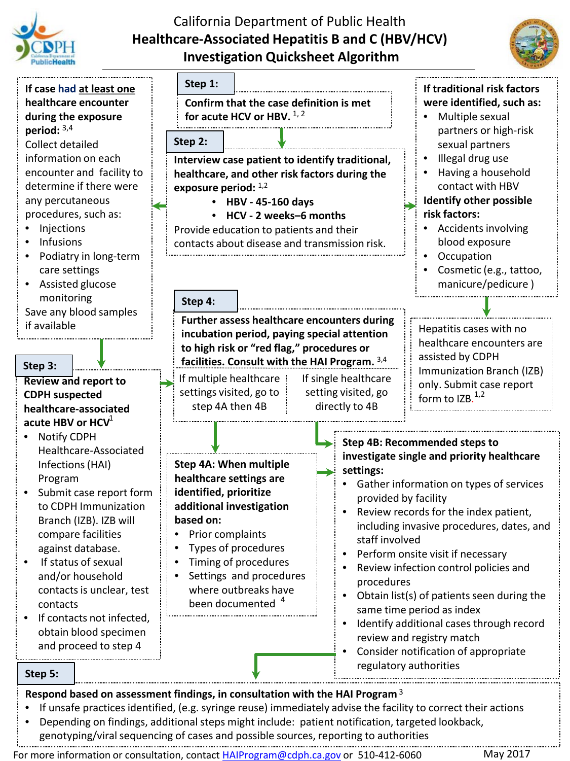





- If unsafe practices identified, (e.g. syringe reuse) immediately advise the facility to correct their actions • Depending on findings, additional steps might include: patient notification, targeted lookback,
- genotyping/viral sequencing of cases and possible sources, reporting to authorities

For more information or consultation, contact *[HAIProgram@cdph.ca.gov](mailto:HAIProgram@cdph.ca.gov)* or 510-412-6060 May 2017